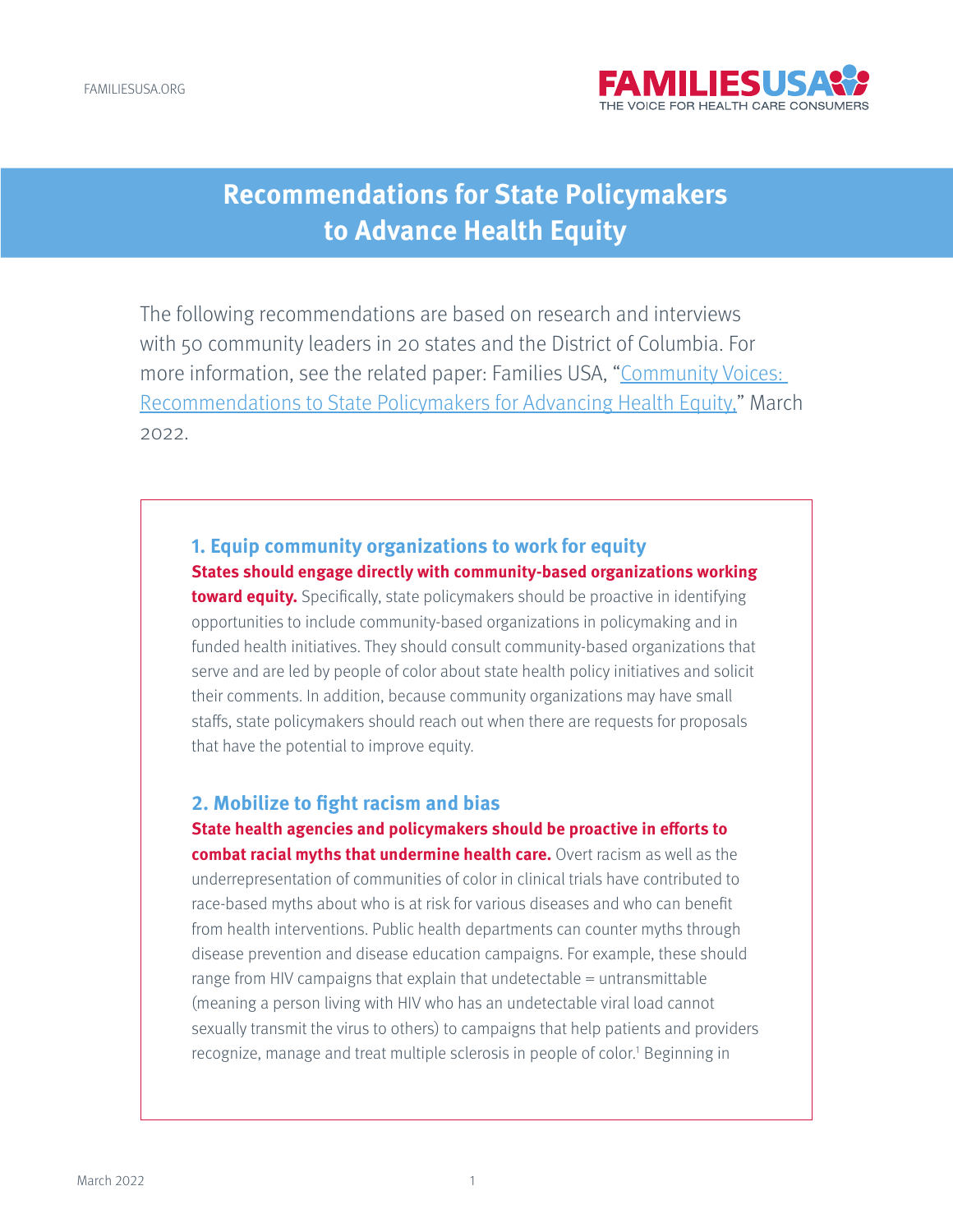

# **Recommendations for State Policymakers to Advance Health Equity**

The following recommendations are based on research and interviews with 50 community leaders in 20 states and the District of Columbia. For more information, see the related paper: Families USA, "[Community Voices:](https://familiesusa.org/resources/community-voices-recommendations-to-state-policymakers-for-advancing-health-equity/)  [Recommendations to State Policymakers for Advancing Health Equity,"](https://familiesusa.org/resources/community-voices-recommendations-to-state-policymakers-for-advancing-health-equity/) March 2022.

# **1. Equip community organizations to work for equity States should engage directly with community-based organizations working**

**toward equity.** Specifically, state policymakers should be proactive in identifying opportunities to include community-based organizations in policymaking and in funded health initiatives. They should consult community-based organizations that serve and are led by people of color about state health policy initiatives and solicit their comments. In addition, because community organizations may have small staffs, state policymakers should reach out when there are requests for proposals that have the potential to improve equity.

#### **2. Mobilize to fight racism and bias**

**State health agencies and policymakers should be proactive in efforts to combat racial myths that undermine health care.** Overt racism as well as the underrepresentation of communities of color in clinical trials have contributed to race-based myths about who is at risk for various diseases and who can benefit from health interventions. Public health departments can counter myths through disease prevention and disease education campaigns. For example, these should range from HIV campaigns that explain that undetectable = untransmittable (meaning a person living with HIV who has an undetectable viral load cannot sexually transmit the virus to others) to campaigns that help patients and providers recognize, manage and treat multiple sclerosis in people of color.<sup>1</sup> Beginning in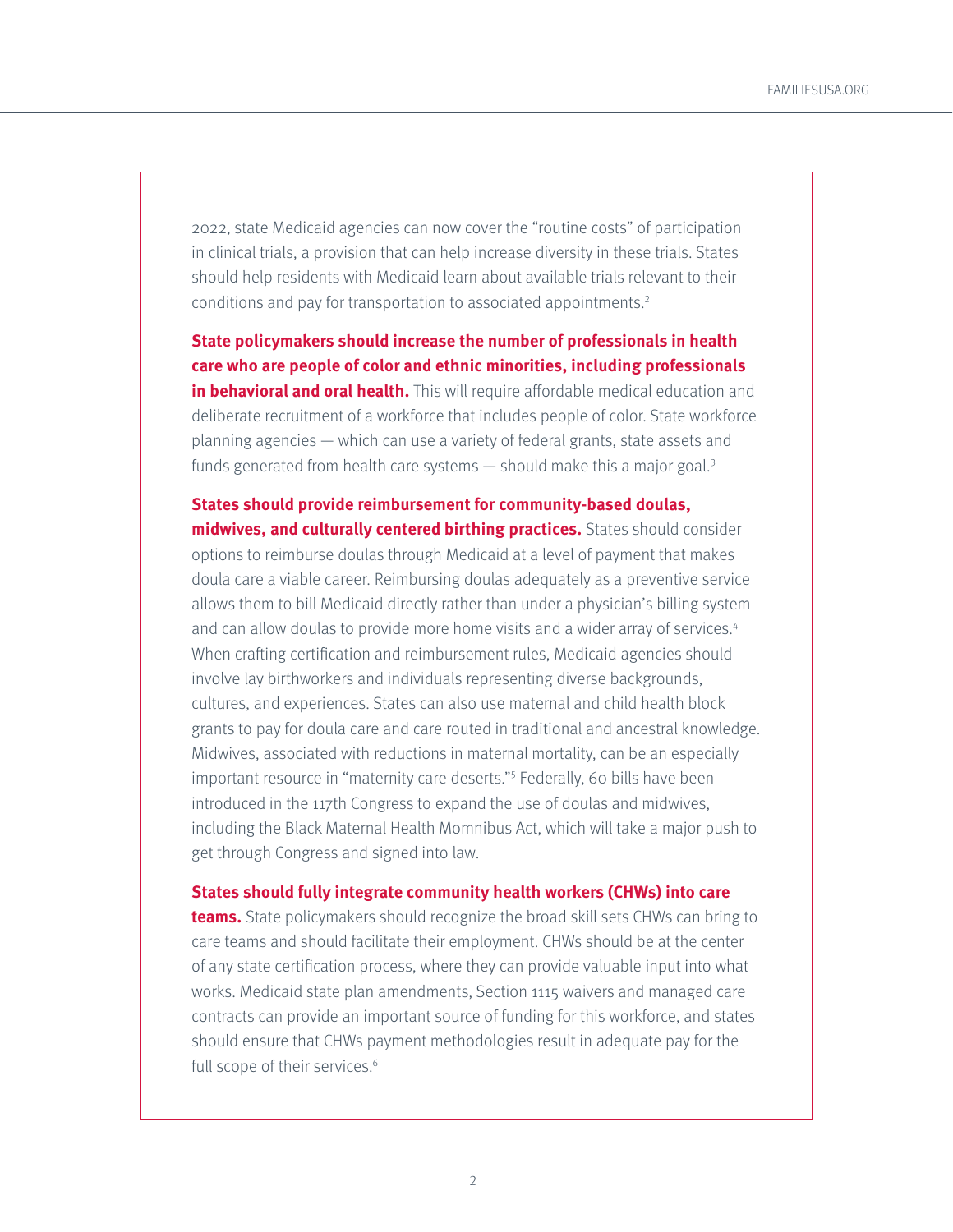<span id="page-1-0"></span>2022, state Medicaid agencies can now cover the "routine costs" of participation in clinical trials, a provision that can help increase diversity in these trials. States should help residents with Medicaid learn about available trials relevant to their conditions and pay for transportation to associated appointments[.2](#page-7-0)

**State policymakers should increase the number of professionals in health care who are people of color and ethnic minorities, including professionals in behavioral and oral health.** This will require affordable medical education and deliberate recruitment of a workforce that includes people of color. State workforce planning agencies — which can use a variety of federal grants, state assets and funds generated from health care systems  $-$  should make this a major goal.<sup>[3](#page-7-0)</sup>

**States should provide reimbursement for community-based doulas, midwives, and culturally centered birthing practices.** States should consider options to reimburse doulas through Medicaid at a level of payment that makes doula care a viable career. Reimbursing doulas adequately as a preventive service allows them to bill Medicaid directly rather than under a physician's billing system and can allow doulas to provide more home visits and a wider array of services.<sup>[4](#page-7-0)</sup> When crafting certification and reimbursement rules, Medicaid agencies should involve lay birthworkers and individuals representing diverse backgrounds, cultures, and experiences. States can also use maternal and child health block grants to pay for doula care and care routed in traditional and ancestral knowledge. Midwives, associated with reductions in maternal mortality, can be an especially important resource in "maternity care deserts.["5](#page-7-0) Federally, 60 bills have been introduced in the 117th Congress to expand the use of doulas and midwives, including the Black Maternal Health Momnibus Act, which will take a major push to get through Congress and signed into law.

#### **States should fully integrate community health workers (CHWs) into care**

**teams.** State policymakers should recognize the broad skill sets CHWs can bring to care teams and should facilitate their employment. CHWs should be at the center of any state certification process, where they can provide valuable input into what works. Medicaid state plan amendments, Section 1115 waivers and managed care contracts can provide an important source of funding for this workforce, and states should ensure that CHWs payment methodologies result in adequate pay for the full scope of their services.<sup>[6](#page-7-0)</sup>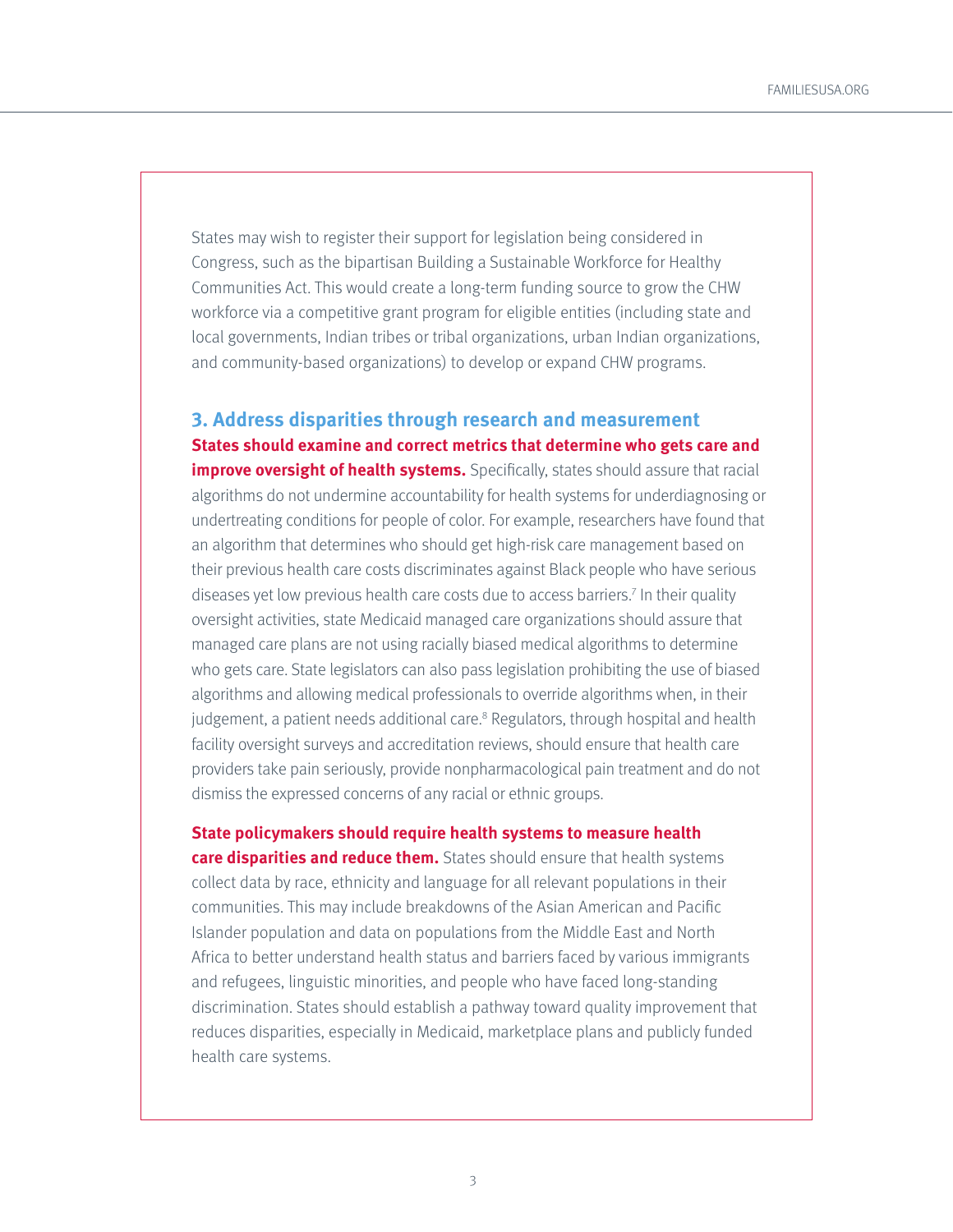<span id="page-2-0"></span>States may wish to register their support for legislation being considered in Congress, such as the bipartisan Building a Sustainable Workforce for Healthy Communities Act. This would create a long-term funding source to grow the CHW workforce via a competitive grant program for eligible entities (including state and local governments, Indian tribes or tribal organizations, urban Indian organizations, and community-based organizations) to develop or expand CHW programs.

**3. Address disparities through research and measurement States should examine and correct metrics that determine who gets care and improve oversight of health systems.** Specifically, states should assure that racial algorithms do not undermine accountability for health systems for underdiagnosing or undertreating conditions for people of color. For example, researchers have found that an algorithm that determines who should get high-risk care management based on their previous health care costs discriminates against Black people who have serious diseases yet low previous health care costs due to access barriers.<sup>7</sup> In their quality oversight activities, state Medicaid managed care organizations should assure that managed care plans are not using racially biased medical algorithms to determine who gets care. State legislators can also pass legislation prohibiting the use of biased algorithms and allowing medical professionals to override algorithms when, in their judgement, a patient needs additional care.<sup>8</sup> Regulators, through hospital and health facility oversight surveys and accreditation reviews, should ensure that health care providers take pain seriously, provide nonpharmacological pain treatment and do not dismiss the expressed concerns of any racial or ethnic groups.

**State policymakers should require health systems to measure health care disparities and reduce them.** States should ensure that health systems collect data by race, ethnicity and language for all relevant populations in their communities. This may include breakdowns of the Asian American and Pacific Islander population and data on populations from the Middle East and North Africa to better understand health status and barriers faced by various immigrants and refugees, linguistic minorities, and people who have faced long-standing discrimination. States should establish a pathway toward quality improvement that reduces disparities, especially in Medicaid, marketplace plans and publicly funded health care systems.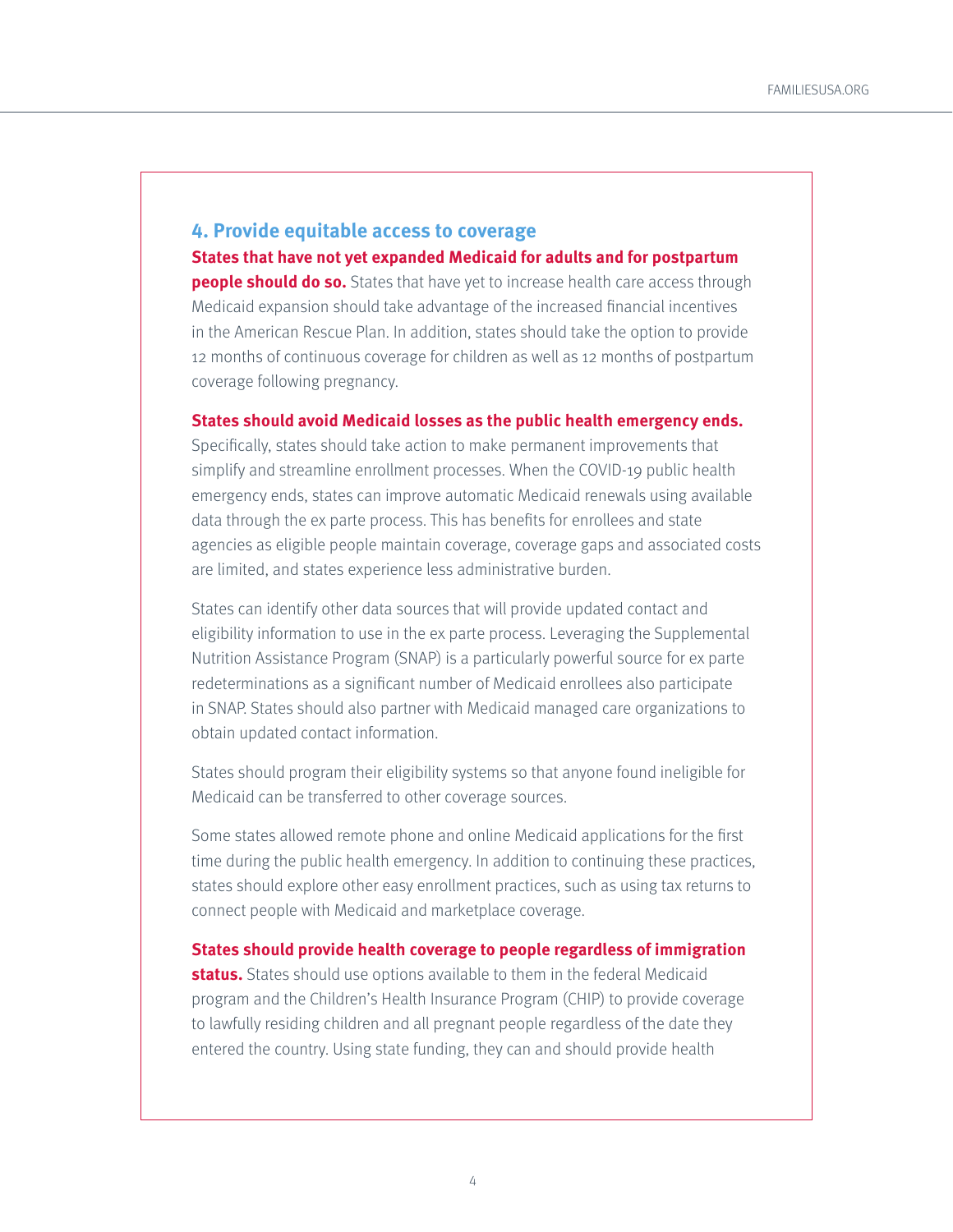# **4. Provide equitable access to coverage States that have not yet expanded Medicaid for adults and for postpartum**

**people should do so.** States that have yet to increase health care access through Medicaid expansion should take advantage of the increased financial incentives in the American Rescue Plan. In addition, states should take the option to provide 12 months of continuous coverage for children as well as 12 months of postpartum coverage following pregnancy.

#### **States should avoid Medicaid losses as the public health emergency ends.**

Specifically, states should take action to make permanent improvements that simplify and streamline enrollment processes. When the COVID-19 public health emergency ends, states can improve automatic Medicaid renewals using available data through the ex parte process. This has benefits for enrollees and state agencies as eligible people maintain coverage, coverage gaps and associated costs are limited, and states experience less administrative burden.

States can identify other data sources that will provide updated contact and eligibility information to use in the ex parte process. Leveraging the Supplemental Nutrition Assistance Program (SNAP) is a particularly powerful source for ex parte redeterminations as a significant number of Medicaid enrollees also participate in SNAP. States should also partner with Medicaid managed care organizations to obtain updated contact information.

States should program their eligibility systems so that anyone found ineligible for Medicaid can be transferred to other coverage sources.

Some states allowed remote phone and online Medicaid applications for the first time during the public health emergency. In addition to continuing these practices, states should explore other easy enrollment practices, such as using tax returns to connect people with Medicaid and marketplace coverage.

**States should provide health coverage to people regardless of immigration status.** States should use options available to them in the federal Medicaid program and the Children's Health Insurance Program (CHIP) to provide coverage to lawfully residing children and all pregnant people regardless of the date they entered the country. Using state funding, they can and should provide health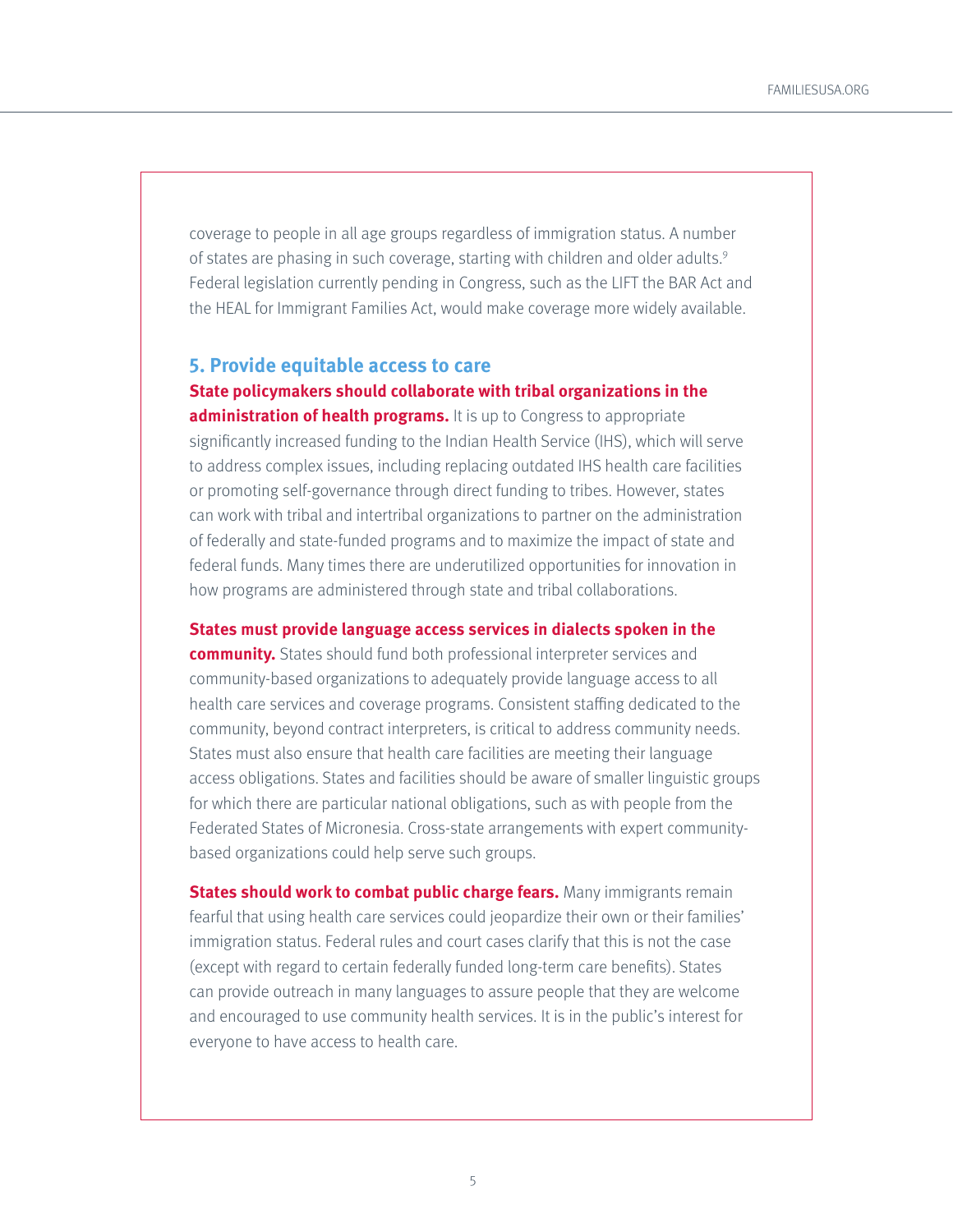<span id="page-4-0"></span>coverage to people in all age groups regardless of immigration status. A number of states are phasing in such coverage, starting with children and older adults.<sup>9</sup> Federal legislation currently pending in Congress, such as the LIFT the BAR Act and the HEAL for Immigrant Families Act, would make coverage more widely available.

### **5. Provide equitable access to care State policymakers should collaborate with tribal organizations in the**

**administration of health programs.** It is up to Congress to appropriate significantly increased funding to the Indian Health Service (IHS), which will serve to address complex issues, including replacing outdated IHS health care facilities or promoting self-governance through direct funding to tribes. However, states can work with tribal and intertribal organizations to partner on the administration of federally and state-funded programs and to maximize the impact of state and federal funds. Many times there are underutilized opportunities for innovation in how programs are administered through state and tribal collaborations.

#### **States must provide language access services in dialects spoken in the**

**community.** States should fund both professional interpreter services and community-based organizations to adequately provide language access to all health care services and coverage programs. Consistent staffing dedicated to the community, beyond contract interpreters, is critical to address community needs. States must also ensure that health care facilities are meeting their language access obligations. States and facilities should be aware of smaller linguistic groups for which there are particular national obligations, such as with people from the Federated States of Micronesia. Cross-state arrangements with expert communitybased organizations could help serve such groups.

**States should work to combat public charge fears.** Many immigrants remain fearful that using health care services could jeopardize their own or their families' immigration status. Federal rules and court cases clarify that this is not the case (except with regard to certain federally funded long-term care benefits). States can provide outreach in many languages to assure people that they are welcome and encouraged to use community health services. It is in the public's interest for everyone to have access to health care.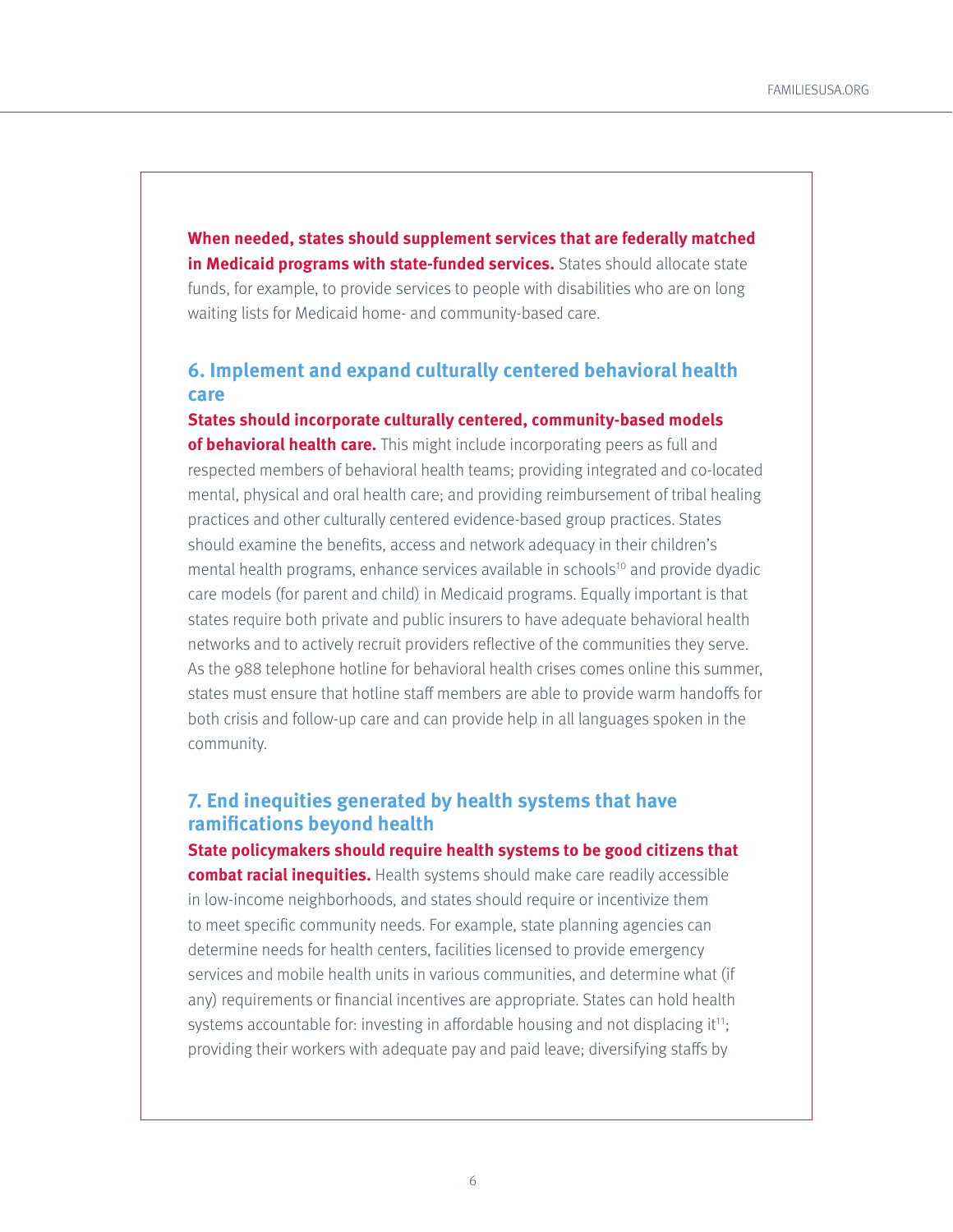<span id="page-5-0"></span>**When needed, states should supplement services that are federally matched in Medicaid programs with state-funded services.** States should allocate state funds, for example, to provide services to people with disabilities who are on long waiting lists for Medicaid home- and community-based care.

# **6. Implement and expand culturally centered behavioral health care**

**States should incorporate culturally centered, community-based models of behavioral health care.** This might include incorporating peers as full and respected members of behavioral health teams; providing integrated and co-located mental, physical and oral health care; and providing reimbursement of tribal healing practices and other culturally centered evidence-based group practices. States should examine the benefits, access and network adequacy in their children's mental health programs, enhance services available in schools<sup>[10](#page-7-0)</sup> and provide dyadic care models (for parent and child) in Medicaid programs. Equally important is that states require both private and public insurers to have adequate behavioral health networks and to actively recruit providers reflective of the communities they serve. As the 988 telephone hotline for behavioral health crises comes online this summer, states must ensure that hotline staff members are able to provide warm handoffs for both crisis and follow-up care and can provide help in all languages spoken in the community.

## **7. End inequities generated by health systems that have ramifications beyond health**

**State policymakers should require health systems to be good citizens that combat racial inequities.** Health systems should make care readily accessible in low-income neighborhoods, and states should require or incentivize them to meet specific community needs. For example, state planning agencies can determine needs for health centers, facilities licensed to provide emergency services and mobile health units in various communities, and determine what (if

any) requirements or financial incentives are appropriate. States can hold health systems accountable for: investing in affordable housing and not displacing it $11$ ; providing their workers with adequate pay and paid leave; diversifying staffs by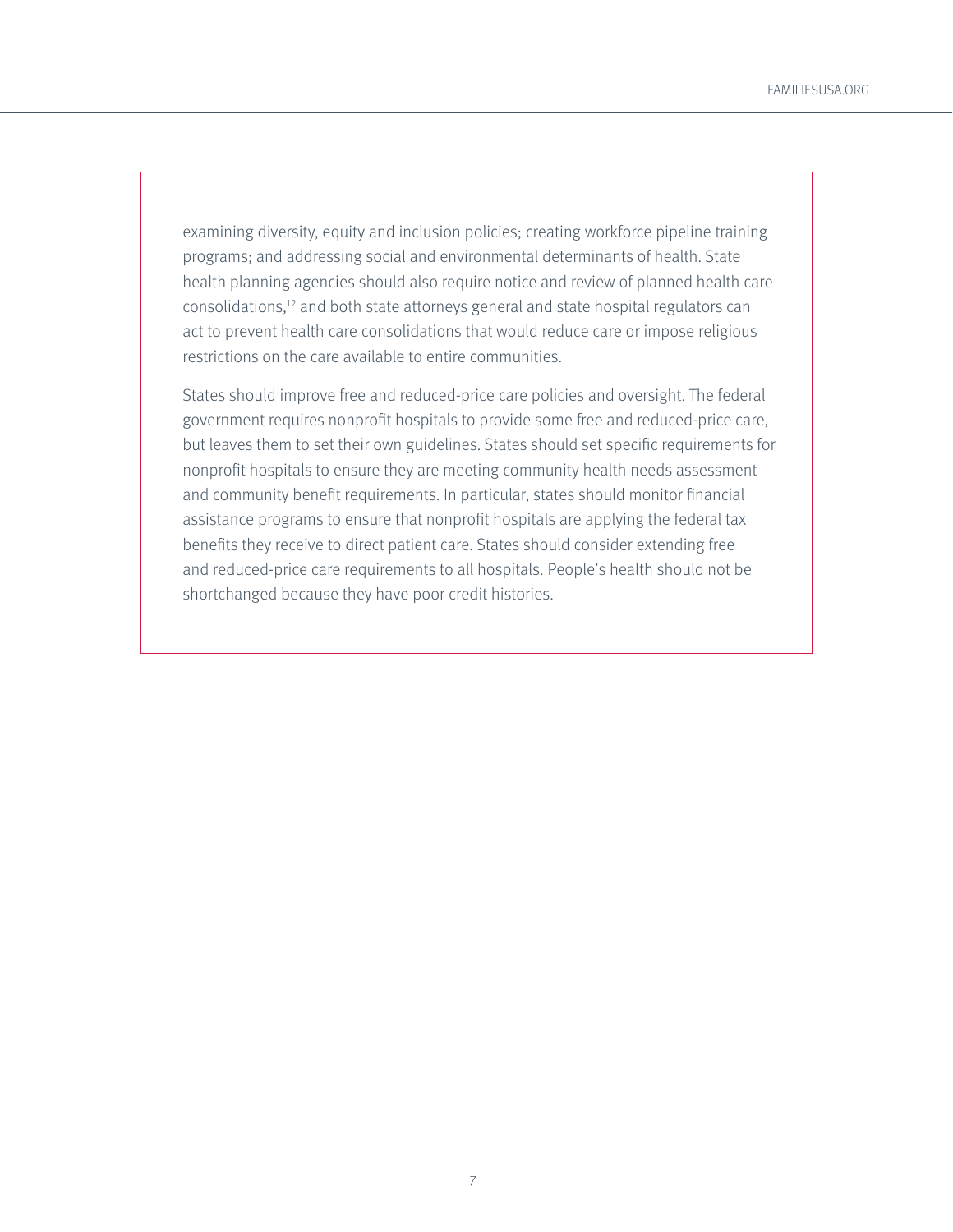<span id="page-6-0"></span>examining diversity, equity and inclusion policies; creating workforce pipeline training programs; and addressing social and environmental determinants of health. State health planning agencies should also require notice and review of planned health care consolidations[,12](#page-7-0) and both state attorneys general and state hospital regulators can act to prevent health care consolidations that would reduce care or impose religious restrictions on the care available to entire communities.

States should improve free and reduced-price care policies and oversight. The federal government requires nonprofit hospitals to provide some free and reduced-price care, but leaves them to set their own guidelines. States should set specific requirements for nonprofit hospitals to ensure they are meeting community health needs assessment and community benefit requirements. In particular, states should monitor financial assistance programs to ensure that nonprofit hospitals are applying the federal tax benefits they receive to direct patient care. States should consider extending free and reduced-price care requirements to all hospitals. People's health should not be shortchanged because they have poor credit histories.